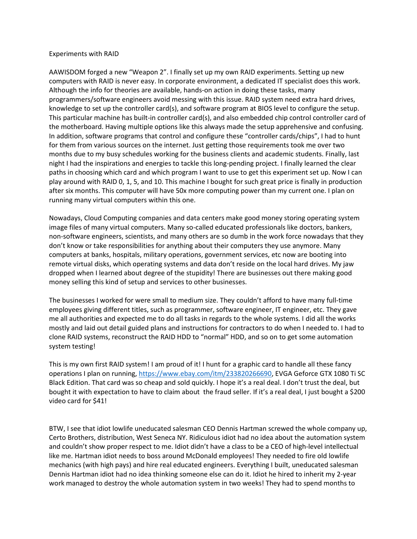## Experiments with RAID

AAWISDOM forged a new "Weapon 2". I finally set up my own RAID experiments. Setting up new computers with RAID is never easy. In corporate environment, a dedicated IT specialist does this work. Although the info for theories are available, hands-on action in doing these tasks, many programmers/software engineers avoid messing with this issue. RAID system need extra hard drives, knowledge to set up the controller card(s), and software program at BIOS level to configure the setup. This particular machine has built-in controller card(s), and also embedded chip control controller card of the motherboard. Having multiple options like this always made the setup apprehensive and confusing. In addition, software programs that control and configure these "controller cards/chips", I had to hunt for them from various sources on the internet. Just getting those requirements took me over two months due to my busy schedules working for the business clients and academic students. Finally, last night I had the inspirations and energies to tackle this long-pending project. I finally learned the clear paths in choosing which card and which program I want to use to get this experiment set up. Now I can play around with RAID 0, 1, 5, and 10. This machine I bought for such great price is finally in production after six months. This computer will have 50x more computing power than my current one. I plan on running many virtual computers within this one.

Nowadays, Cloud Computing companies and data centers make good money storing operating system image files of many virtual computers. Many so-called educated professionals like doctors, bankers, non-software engineers, scientists, and many others are so dumb in the work force nowadays that they don't know or take responsibilities for anything about their computers they use anymore. Many computers at banks, hospitals, military operations, government services, etc now are booting into remote virtual disks, which operating systems and data don't reside on the local hard drives. My jaw dropped when I learned about degree of the stupidity! There are businesses out there making good money selling this kind of setup and services to other businesses.

The businesses I worked for were small to medium size. They couldn't afford to have many full-time employees giving different titles, such as programmer, software engineer, IT engineer, etc. They gave me all authorities and expected me to do all tasks in regards to the whole systems. I did all the works mostly and laid out detail guided plans and instructions for contractors to do when I needed to. I had to clone RAID systems, reconstruct the RAID HDD to "normal" HDD, and so on to get some automation system testing!

This is my own first RAID system! I am proud of it! I hunt for a graphic card to handle all these fancy operations I plan on running, [https://www.ebay.com/itm/233820266690,](https://www.ebay.com/itm/233820266690) EVGA Geforce GTX 1080 Ti SC Black Edition. That card was so cheap and sold quickly. I hope it's a real deal. I don't trust the deal, but bought it with expectation to have to claim about the fraud seller. If it's a real deal, I just bought a \$200 video card for \$41!

BTW, I see that idiot lowlife uneducated salesman CEO Dennis Hartman screwed the whole company up, Certo Brothers, distribution, West Seneca NY. Ridiculous idiot had no idea about the automation system and couldn't show proper respect to me. Idiot didn't have a class to be a CEO of high-level intellectual like me. Hartman idiot needs to boss around McDonald employees! They needed to fire old lowlife mechanics (with high pays) and hire real educated engineers. Everything I built, uneducated salesman Dennis Hartman idiot had no idea thinking someone else can do it. Idiot he hired to inherit my 2-year work managed to destroy the whole automation system in two weeks! They had to spend months to